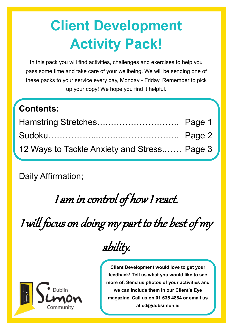# **Client Development Activity Pack!**

In this pack you will find activities, challenges and exercises to help you pass some time and take care of your wellbeing. We will be sending one of these packs to your service every day, Monday - Friday. Remember to pick up your copy! We hope you find it helpful.

### **Contents:**

| Hamstring Stretches Page 1                  |  |
|---------------------------------------------|--|
|                                             |  |
| 12 Ways to Tackle Anxiety and Stress Page 3 |  |

Daily Affirmation;

I am in control of how I react.

I will focus on doing my part to the best of my

`ommunit

ability.

**Client Development would love to get your feedback! Tell us what you would like to see more of. Send us photos of your activities and we can include them in our Client's Eye magazine. Call us on 01 635 4884 or email us at cd@dubsimon.ie**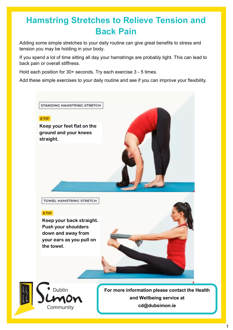#### **Hamstring Stretches to Relieve Tension and Back Pain**

Adding some simple stretches to your daily routine can give great benefits to stress and tension you may be holding in your body.

If you spend a lot of time sitting all day your hamstrings are probably tight. This can lead to back pain or overall stiffness.

Hold each position for 30+ seconds. Try each exercise 3 - 5 times.

Add these simple exercises to your daily routine and see if you can improve your flexibility.

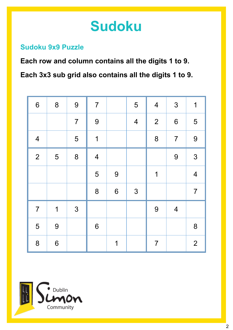## **Sudoku**

#### **Sudoku 9x9 Puzzle**

**Each row and column contains all the digits 1 to 9. Each 3x3 sub grid also contains all the digits 1 to 9.**

| $6\,$          | 8                       | 9              | $\overline{7}$           |                  | 5                        | $\overline{\mathbf{4}}$ | $\mathfrak{S}$  | 1                       |
|----------------|-------------------------|----------------|--------------------------|------------------|--------------------------|-------------------------|-----------------|-------------------------|
|                |                         | $\overline{7}$ | 9                        |                  | $\overline{\mathcal{A}}$ | $\overline{2}$          | $6\phantom{1}6$ | 5                       |
| $\overline{4}$ |                         | 5              | $\overline{1}$           |                  |                          | 8                       | $\overline{7}$  | 9                       |
| $\overline{2}$ | 5                       | 8              | $\overline{\mathcal{A}}$ |                  |                          |                         | 9               | 3                       |
|                |                         |                | 5                        | $\overline{9}$   |                          | 1                       |                 | $\overline{\mathbf{4}}$ |
|                |                         |                | 8                        | $\boldsymbol{6}$ | $\mathfrak{S}$           |                         |                 | $\overline{7}$          |
| $\overline{7}$ | $\overline{\mathbf{1}}$ | 3              |                          |                  |                          | 9                       | $\overline{4}$  |                         |
| 5              | 9                       |                | $\boldsymbol{6}$         |                  |                          |                         |                 | 8                       |
| 8              | $6\phantom{1}6$         |                |                          | 1                |                          | $\overline{7}$          |                 | 2                       |